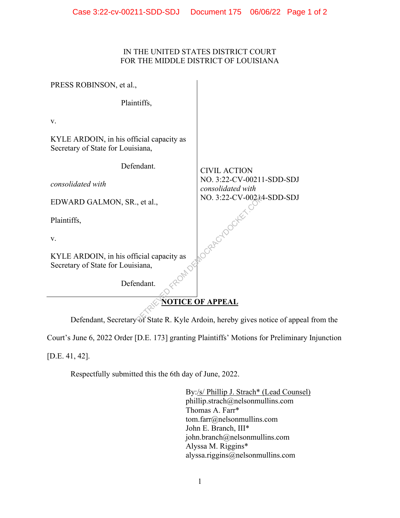## IN THE UNITED STATES DISTRICT COURT FOR THE MIDDLE DISTRICT OF LOUISIANA

| PRESS ROBINSON, et al.,                                                       |                                                |
|-------------------------------------------------------------------------------|------------------------------------------------|
| Plaintiffs,                                                                   |                                                |
| V.                                                                            |                                                |
| KYLE ARDOIN, in his official capacity as<br>Secretary of State for Louisiana, |                                                |
| Defendant.                                                                    | <b>CIVIL ACTION</b>                            |
| consolidated with                                                             | NO. 3:22-CV-00211-SDD-SDJ<br>consolidated with |
| EDWARD GALMON, SR., et al.,                                                   | NO. 3:22-CV-00214-SDD-SDJ                      |
| Plaintiffs,                                                                   |                                                |
| V.                                                                            |                                                |
| KYLE ARDOIN, in his official capacity as<br>Secretary of State for Louisiana, |                                                |
| Defendant.                                                                    |                                                |
| <b>NOTICE OF APPEAL</b>                                                       |                                                |
| Defendant, Secretary of State R. Kyle Ardoin, hereby gives notice of appea    |                                                |

Defendant, Secretary of State R. Kyle Ardoin, hereby gives notice of appeal from the

Court's June 6, 2022 Order [D.E. 173] granting Plaintiffs' Motions for Preliminary Injunction

[D.E. 41, 42].

Respectfully submitted this the 6th day of June, 2022.

By:/s/ Phillip J. Strach\* (Lead Counsel) phillip.strach@nelsonmullins.com Thomas A. Farr\* tom.farr@nelsonmullins.com John E. Branch, III\* john.branch@nelsonmullins.com Alyssa M. Riggins\* alyssa.riggins@nelsonmullins.com